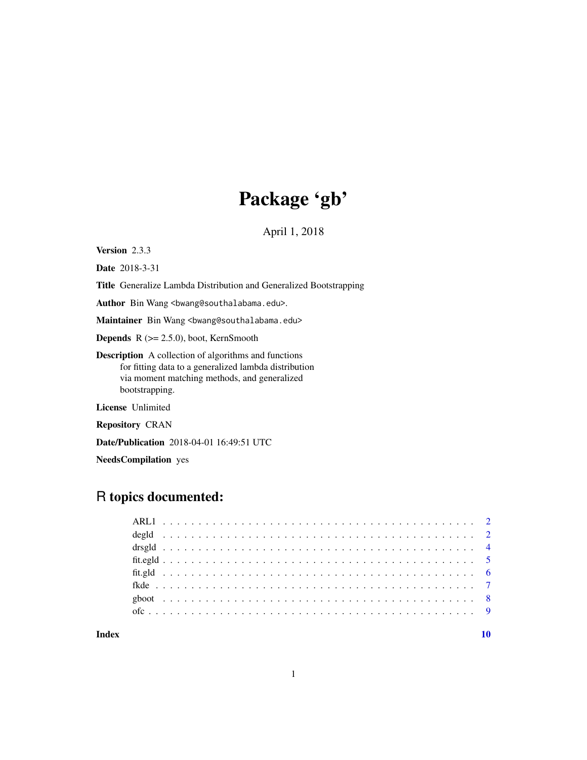## Package 'gb'

April 1, 2018

Version 2.3.3

Date 2018-3-31

Title Generalize Lambda Distribution and Generalized Bootstrapping

Author Bin Wang <br/>bwang@southalabama.edu>.

Maintainer Bin Wang <bwang@southalabama.edu>

**Depends**  $R$  ( $>= 2.5.0$ ), boot, KernSmooth

Description A collection of algorithms and functions for fitting data to a generalized lambda distribution via moment matching methods, and generalized bootstrapping.

License Unlimited

Repository CRAN

Date/Publication 2018-04-01 16:49:51 UTC

NeedsCompilation yes

### R topics documented:

#### $\blacksquare$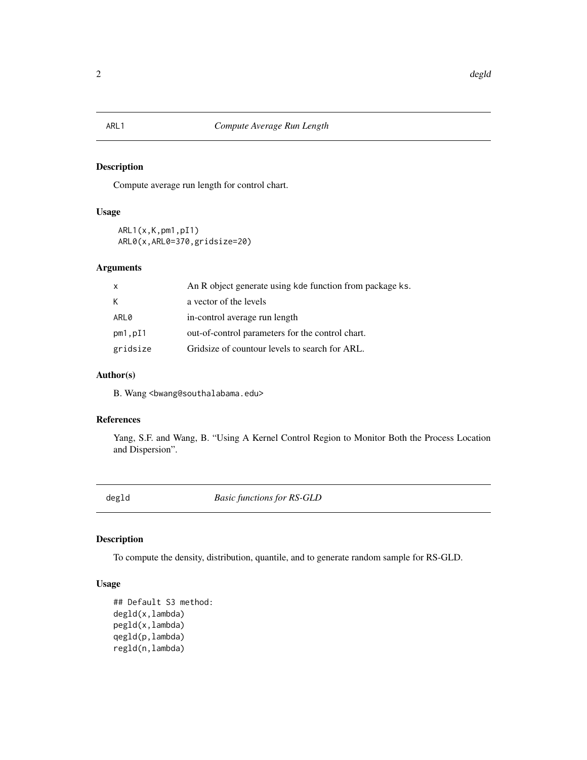#### <span id="page-1-0"></span>Description

Compute average run length for control chart.

### Usage

```
ARL1(x,K,pm1,pI1)
ARL0(x,ARL0=370,gridsize=20)
```
#### Arguments

| X        | An R object generate using kde function from package ks. |
|----------|----------------------------------------------------------|
| К        | a vector of the levels                                   |
| ARL0     | in-control average run length                            |
| pm1,pI1  | out-of-control parameters for the control chart.         |
| gridsize | Gridsize of countour levels to search for ARL.           |

#### Author(s)

B. Wang <br/>bwang@southalabama.edu>

#### References

Yang, S.F. and Wang, B. "Using A Kernel Control Region to Monitor Both the Process Location and Dispersion".

<span id="page-1-2"></span>degld *Basic functions for RS-GLD*

#### <span id="page-1-1"></span>Description

To compute the density, distribution, quantile, and to generate random sample for RS-GLD.

#### Usage

```
## Default S3 method:
degld(x,lambda)
pegld(x,lambda)
qegld(p,lambda)
regld(n,lambda)
```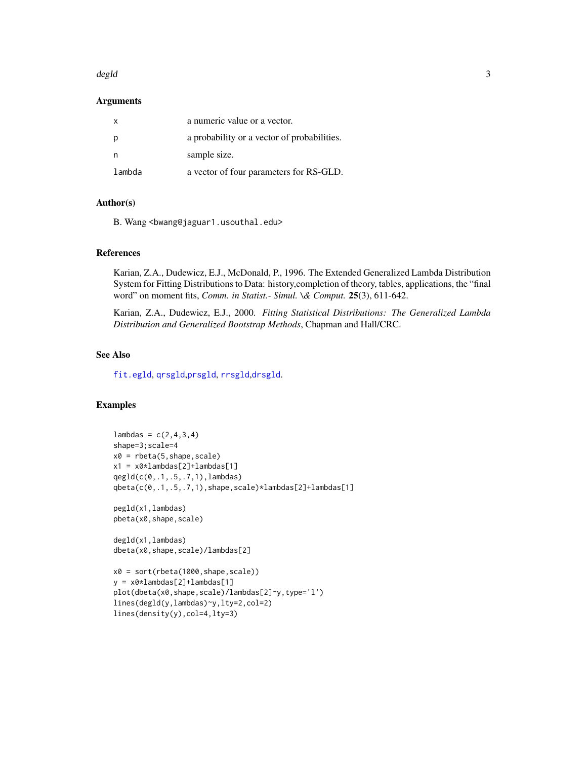#### <span id="page-2-0"></span>degld 3

#### Arguments

| $\mathsf{X}$ | a numeric value or a vector.                |
|--------------|---------------------------------------------|
| p            | a probability or a vector of probabilities. |
|              | sample size.                                |
| lambda       | a vector of four parameters for RS-GLD.     |

#### Author(s)

B. Wang <br/>bwang@jaguar1.usouthal.edu>

#### References

Karian, Z.A., Dudewicz, E.J., McDonald, P., 1996. The Extended Generalized Lambda Distribution System for Fitting Distributions to Data: history,completion of theory, tables, applications, the "final word" on moment fits, *Comm. in Statist.- Simul. \& Comput.* 25(3), 611-642.

Karian, Z.A., Dudewicz, E.J., 2000. *Fitting Statistical Distributions: The Generalized Lambda Distribution and Generalized Bootstrap Methods*, Chapman and Hall/CRC.

#### See Also

[fit.egld](#page-4-1), [qrsgld](#page-3-1),[prsgld](#page-3-1), [rrsgld](#page-3-1),[drsgld](#page-3-2).

#### Examples

```
lambdas = c(2, 4, 3, 4)shape=3;scale=4
x0 = \text{rbeta}(5, \text{shape}, \text{scale})x1 = x0*1ambdas[2]+1ambdas[1]
qegld(c(0,.1,.5,.7,1),lambdas)
qbeta(c(0,.1,.5,.7,1),shape,scale)*lambdas[2]+lambdas[1]
pegld(x1,lambdas)
pbeta(x0,shape,scale)
degld(x1,lambdas)
dbeta(x0,shape,scale)/lambdas[2]
x0 = sort(rbeta(1000,shape,scale))
y = x0*1ambdas[2]+1ambdas[1]
plot(dbeta(x0,shape,scale)/lambdas[2]~y,type='l')
lines(degld(y,lambdas)~y,lty=2,col=2)
lines(density(y),col=4,lty=3)
```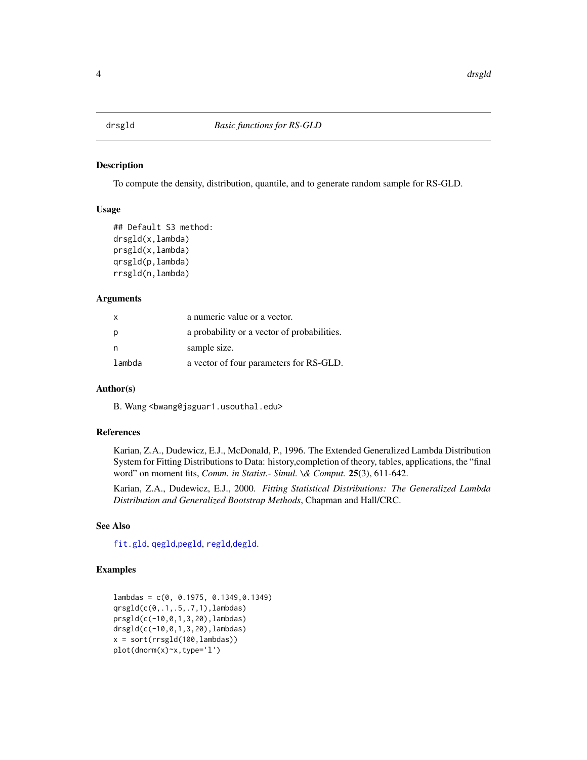<span id="page-3-2"></span><span id="page-3-0"></span>

#### <span id="page-3-1"></span>Description

To compute the density, distribution, quantile, and to generate random sample for RS-GLD.

#### Usage

```
## Default S3 method:
drsgld(x,lambda)
prsgld(x,lambda)
qrsgld(p,lambda)
rrsgld(n,lambda)
```
#### Arguments

| X      | a numeric value or a vector.                |
|--------|---------------------------------------------|
| p      | a probability or a vector of probabilities. |
| n      | sample size.                                |
| lambda | a vector of four parameters for RS-GLD.     |

#### Author(s)

B. Wang <bwang@jaguar1.usouthal.edu>

#### References

Karian, Z.A., Dudewicz, E.J., McDonald, P., 1996. The Extended Generalized Lambda Distribution System for Fitting Distributions to Data: history,completion of theory, tables, applications, the "final word" on moment fits, *Comm. in Statist.- Simul. \& Comput.* 25(3), 611-642.

Karian, Z.A., Dudewicz, E.J., 2000. *Fitting Statistical Distributions: The Generalized Lambda Distribution and Generalized Bootstrap Methods*, Chapman and Hall/CRC.

#### See Also

[fit.gld](#page-5-1), [qegld](#page-1-1),[pegld](#page-1-1), [regld](#page-1-1),[degld](#page-1-2).

#### Examples

```
lambdas = c(0, 0.1975, 0.1349,0.1349)
qrsgld(c(0,.1,.5,.7,1),lambdas)
prsgld(c(-10,0,1,3,20),lambdas)
drsgld(c(-10,0,1,3,20),lambdas)
x = sort(rrsgld(100,lambda)plot(dnorm(x)~x,type='l')
```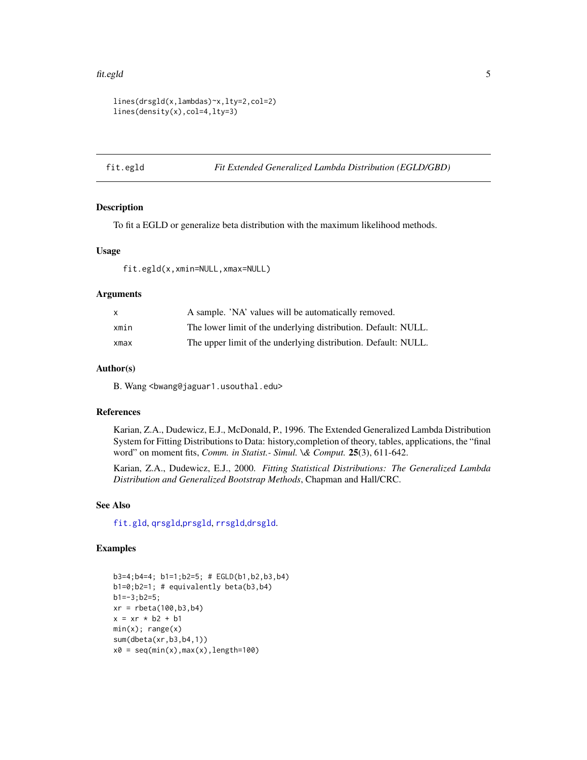#### <span id="page-4-0"></span>fit.egld 5

```
lines(drsgld(x,lambdas)~x,lty=2,col=2)
lines(density(x),col=4,lty=3)
```
<span id="page-4-1"></span>fit.egld *Fit Extended Generalized Lambda Distribution (EGLD/GBD)*

#### Description

To fit a EGLD or generalize beta distribution with the maximum likelihood methods.

#### Usage

fit.egld(x,xmin=NULL,xmax=NULL)

#### Arguments

| X.   | A sample. 'NA' values will be automatically removed.           |
|------|----------------------------------------------------------------|
| xmin | The lower limit of the underlying distribution. Default: NULL. |
| xmax | The upper limit of the underlying distribution. Default: NULL. |

#### Author(s)

B. Wang <br/>bwang@jaguar1.usouthal.edu>

#### References

Karian, Z.A., Dudewicz, E.J., McDonald, P., 1996. The Extended Generalized Lambda Distribution System for Fitting Distributions to Data: history,completion of theory, tables, applications, the "final word" on moment fits, *Comm. in Statist.- Simul. \& Comput.* 25(3), 611-642.

Karian, Z.A., Dudewicz, E.J., 2000. *Fitting Statistical Distributions: The Generalized Lambda Distribution and Generalized Bootstrap Methods*, Chapman and Hall/CRC.

#### See Also

[fit.gld](#page-5-1), [qrsgld](#page-3-1),[prsgld](#page-3-1), [rrsgld](#page-3-1),[drsgld](#page-3-2).

#### Examples

```
b3=4;b4=4; b1=1;b2=5; # EGLD(b1,b2,b3,b4)
b1=0;b2=1; # equivalently beta(b3,b4)
b1=-3;b2=5;
xr = \text{rbeta}(100, b3, b4)x = xr * b2 + b1min(x); range(x)sum(dbeta(xr,b3,b4,1))
x0 = seq(min(x),max(x),length=100)
```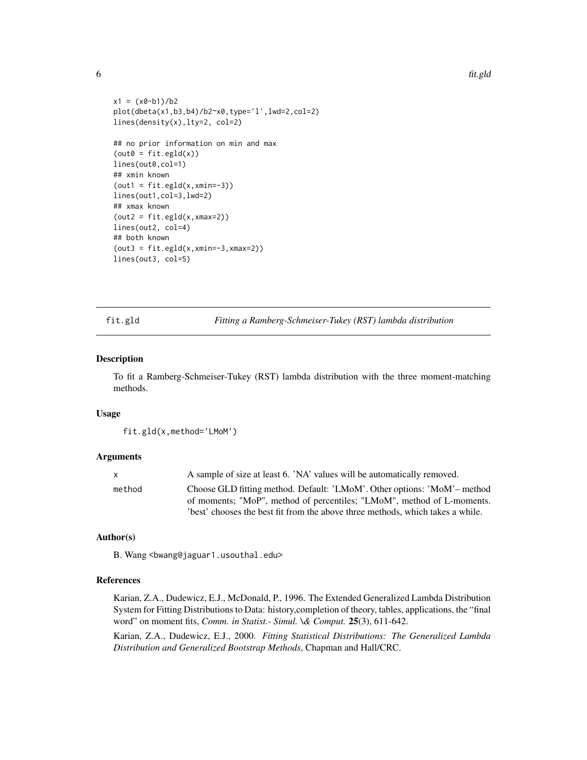```
x1 = (x0-b1)/b2plot(dbeta(x1,b3,b4)/b2~x0,type='l',lwd=2,col=2)
lines(density(x),lty=2, col=2)
## no prior information on min and max
(out = fit.egld(x))lines(out0,col=1)
## xmin known
(out = fit.equals(x, xmin=-3))lines(out1,col=3,lwd=2)
## xmax known
(out2 = fit.equals(x, xmax=2))lines(out2, col=4)
## both known
(out3 = fit.equals(x, xmin=-3, xmax=2))lines(out3, col=5)
```
<span id="page-5-1"></span>fit.gld *Fitting a Ramberg-Schmeiser-Tukey (RST) lambda distribution*

#### Description

To fit a Ramberg-Schmeiser-Tukey (RST) lambda distribution with the three moment-matching methods.

#### Usage

fit.gld(x,method='LMoM')

#### Arguments

| x.     | A sample of size at least 6. 'NA' values will be automatically removed.       |
|--------|-------------------------------------------------------------------------------|
| method | Choose GLD fitting method. Default: 'LMoM'. Other options: 'MoM'- method      |
|        | of moments; "MoP", method of percentiles; "LMoM", method of L-moments.        |
|        | best' chooses the best fit from the above three methods, which takes a while. |

#### Author(s)

B. Wang <br/>bwang@jaguar1.usouthal.edu>

#### References

Karian, Z.A., Dudewicz, E.J., McDonald, P., 1996. The Extended Generalized Lambda Distribution System for Fitting Distributions to Data: history,completion of theory, tables, applications, the "final word" on moment fits, *Comm. in Statist.- Simul. \& Comput.* 25(3), 611-642.

Karian, Z.A., Dudewicz, E.J., 2000. *Fitting Statistical Distributions: The Generalized Lambda Distribution and Generalized Bootstrap Methods*, Chapman and Hall/CRC.

<span id="page-5-0"></span>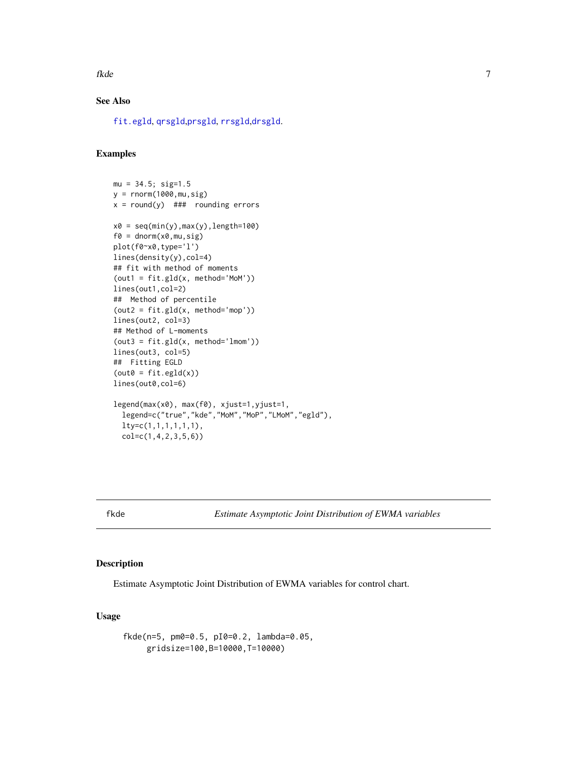<span id="page-6-0"></span>fkde te beste beste beste beste beste beste beste beste beste beste beste beste beste beste beste beste beste

### See Also

[fit.egld](#page-4-1), [qrsgld](#page-3-1),[prsgld](#page-3-1), [rrsgld](#page-3-1),[drsgld](#page-3-2).

#### Examples

```
mu = 34.5; sig=1.5
y = rnorm(1000,mu,sig)
x = round(y) ### rounding errors
x0 = seq(min(y),max(y),length=100)f0 = \text{dnorm}(x0, mu, sig)plot(f0~x0,type='l')
lines(density(y),col=4)
## fit with method of moments
(out = fit.gld(x, method='MoM'))lines(out1,col=2)
## Method of percentile
(out2 = fit.gld(x, method='mop'))lines(out2, col=3)
## Method of L-moments
(out3 = fit.gld(x, method='lmom'))lines(out3, col=5)
## Fitting EGLD
(out = fit.equals(x))lines(out0,col=6)
legend(max(x0), max(f0), xjust=1,yjust=1,
  legend=c("true","kde","MoM","MoP","LMoM","egld"),
  lty=c(1,1,1,1,1,1),
  col=c(1,4,2,3,5,6))
```
fkde *Estimate Asymptotic Joint Distribution of EWMA variables*

#### Description

Estimate Asymptotic Joint Distribution of EWMA variables for control chart.

#### Usage

```
fkde(n=5, pm0=0.5, pI0=0.2, lambda=0.05,
    gridsize=100,B=10000,T=10000)
```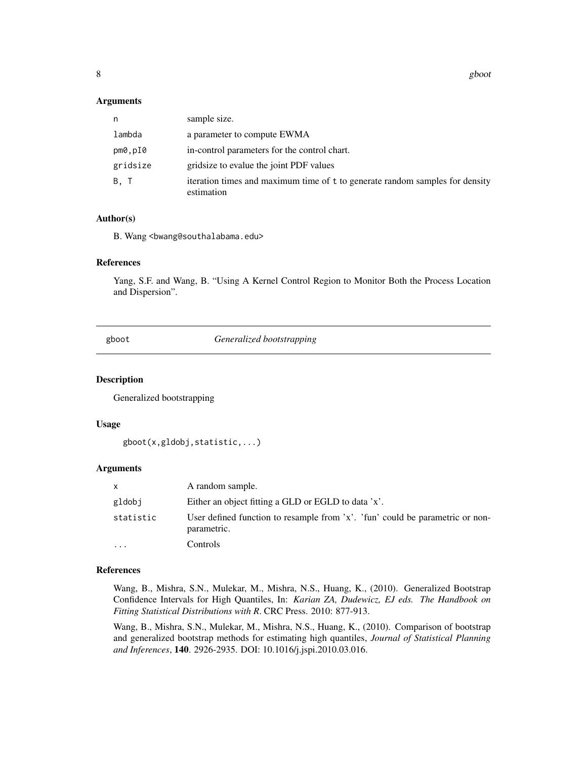<span id="page-7-0"></span>8 gboot and the second state of the second state of the second state  $g$  boot  $g$ 

#### Arguments

| n        | sample size.                                                                               |
|----------|--------------------------------------------------------------------------------------------|
| lambda   | a parameter to compute EWMA                                                                |
| pm0,pI0  | in-control parameters for the control chart.                                               |
| gridsize | grid size to evalue the joint PDF values                                                   |
| B.T      | iteration times and maximum time of t to generate random samples for density<br>estimation |

#### Author(s)

B. Wang <br/>bwang@southalabama.edu>

#### References

Yang, S.F. and Wang, B. "Using A Kernel Control Region to Monitor Both the Process Location and Dispersion".

gboot *Generalized bootstrapping*

#### Description

Generalized bootstrapping

#### Usage

```
gboot(x,gldobj,statistic,...)
```
#### Arguments

| X         | A random sample.                                                                             |
|-----------|----------------------------------------------------------------------------------------------|
| gldobj    | Either an object fitting a GLD or EGLD to data 'x'.                                          |
| statistic | User defined function to resample from 'x'. 'fun' could be parametric or non-<br>parametric. |
| .         | Controls                                                                                     |

#### References

Wang, B., Mishra, S.N., Mulekar, M., Mishra, N.S., Huang, K., (2010). Generalized Bootstrap Confidence Intervals for High Quantiles, In: *Karian ZA, Dudewicz, EJ eds. The Handbook on Fitting Statistical Distributions with R*. CRC Press. 2010: 877-913.

Wang, B., Mishra, S.N., Mulekar, M., Mishra, N.S., Huang, K., (2010). Comparison of bootstrap and generalized bootstrap methods for estimating high quantiles, *Journal of Statistical Planning and Inferences*, 140. 2926-2935. DOI: 10.1016/j.jspi.2010.03.016.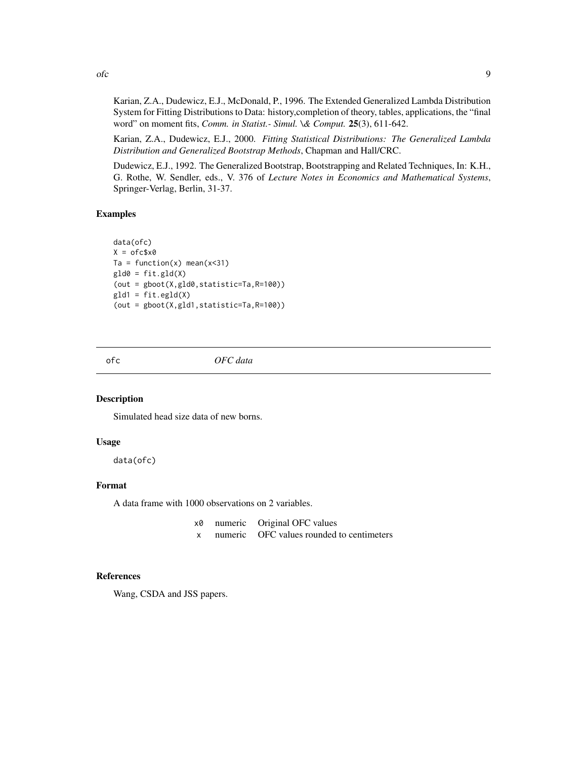Karian, Z.A., Dudewicz, E.J., McDonald, P., 1996. The Extended Generalized Lambda Distribution System for Fitting Distributions to Data: history,completion of theory, tables, applications, the "final word" on moment fits, *Comm. in Statist.- Simul. \& Comput.* 25(3), 611-642.

Karian, Z.A., Dudewicz, E.J., 2000. *Fitting Statistical Distributions: The Generalized Lambda Distribution and Generalized Bootstrap Methods*, Chapman and Hall/CRC.

Dudewicz, E.J., 1992. The Generalized Bootstrap, Bootstrapping and Related Techniques, In: K.H., G. Rothe, W. Sendler, eds., V. 376 of *Lecture Notes in Economics and Mathematical Systems*, Springer-Verlag, Berlin, 31-37.

#### Examples

```
data(ofc)
X = ofc$x0
Ta = function(x) mean(x<31)
gld0 = fit.gld(X)(out = gboot(X,gld0,statistic=Ta,R=100))
gld1 = fit.egld(X)(out = gboot(X,gld1,statistic=Ta,R=100))
```
ofc *OFC data*

#### Description

Simulated head size data of new borns.

#### Usage

data(ofc)

#### Format

A data frame with 1000 observations on 2 variables.

| xØ | numeric | Original OFC values               |
|----|---------|-----------------------------------|
|    | numeric | OFC values rounded to centimeters |

#### References

Wang, CSDA and JSS papers.

<span id="page-8-0"></span> $\int$  9